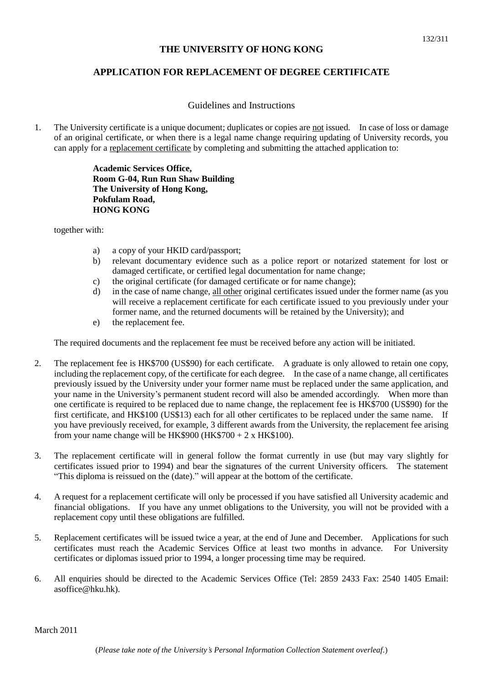## **THE UNIVERSITY OF HONG KONG**

# **APPLICATION FOR REPLACEMENT OF DEGREE CERTIFICATE**

## Guidelines and Instructions

1. The University certificate is a unique document; duplicates or copies are not issued. In case of loss or damage of an original certificate, or when there is a legal name change requiring updating of University records, you can apply for a replacement certificate by completing and submitting the attached application to:

> **Academic Services Office, Room G-04, Run Run Shaw Building The University of Hong Kong, Pokfulam Road, HONG KONG**

together with:

- a) a copy of your HKID card/passport;
- b) relevant documentary evidence such as a police report or notarized statement for lost or damaged certificate, or certified legal documentation for name change;
- c) the original certificate (for damaged certificate or for name change);
- d) in the case of name change, all other original certificates issued under the former name (as you will receive a replacement certificate for each certificate issued to you previously under your former name, and the returned documents will be retained by the University); and
- e) the replacement fee.

The required documents and the replacement fee must be received before any action will be initiated.

- 2. The replacement fee is HK\$700 (US\$90) for each certificate. A graduate is only allowed to retain one copy, including the replacement copy, of the certificate for each degree. In the case of a name change, all certificates previously issued by the University under your former name must be replaced under the same application, and your name in the University's permanent student record will also be amended accordingly. When more than one certificate is required to be replaced due to name change, the replacement fee is HK\$700 (US\$90) for the first certificate, and HK\$100 (US\$13) each for all other certificates to be replaced under the same name. If you have previously received, for example, 3 different awards from the University, the replacement fee arising from your name change will be HK\$900 (HK\$700 + 2 x HK\$100).
- 3. The replacement certificate will in general follow the format currently in use (but may vary slightly for certificates issued prior to 1994) and bear the signatures of the current University officers. The statement "This diploma is reissued on the (date)." will appear at the bottom of the certificate.
- 4. A request for a replacement certificate will only be processed if you have satisfied all University academic and financial obligations. If you have any unmet obligations to the University, you will not be provided with a replacement copy until these obligations are fulfilled.
- 5. Replacement certificates will be issued twice a year, at the end of June and December. Applications for such certificates must reach the Academic Services Office at least two months in advance. For University certificates or diplomas issued prior to 1994, a longer processing time may be required.
- 6. All enquiries should be directed to the Academic Services Office (Tel: 2859 2433 Fax: 2540 1405 Email: asoffice@hku.hk).

March 2011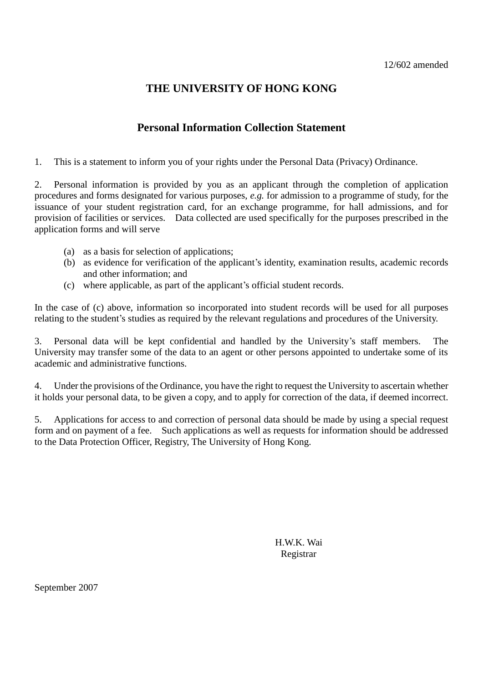# **THE UNIVERSITY OF HONG KONG**

# **Personal Information Collection Statement**

1. This is a statement to inform you of your rights under the Personal Data (Privacy) Ordinance.

2. Personal information is provided by you as an applicant through the completion of application procedures and forms designated for various purposes, *e.g.* for admission to a programme of study, for the issuance of your student registration card, for an exchange programme, for hall admissions, and for provision of facilities or services. Data collected are used specifically for the purposes prescribed in the application forms and will serve

- (a) as a basis for selection of applications;
- (b) as evidence for verification of the applicant's identity, examination results, academic records and other information; and
- (c) where applicable, as part of the applicant's official student records.

In the case of (c) above, information so incorporated into student records will be used for all purposes relating to the student's studies as required by the relevant regulations and procedures of the University.

3. Personal data will be kept confidential and handled by the University's staff members. The University may transfer some of the data to an agent or other persons appointed to undertake some of its academic and administrative functions.

4. Under the provisions of the Ordinance, you have the right to request the University to ascertain whether it holds your personal data, to be given a copy, and to apply for correction of the data, if deemed incorrect.

5. Applications for access to and correction of personal data should be made by using a special request form and on payment of a fee. Such applications as well as requests for information should be addressed to the Data Protection Officer, Registry, The University of Hong Kong.

> H.W.K. Wai Registrar

September 2007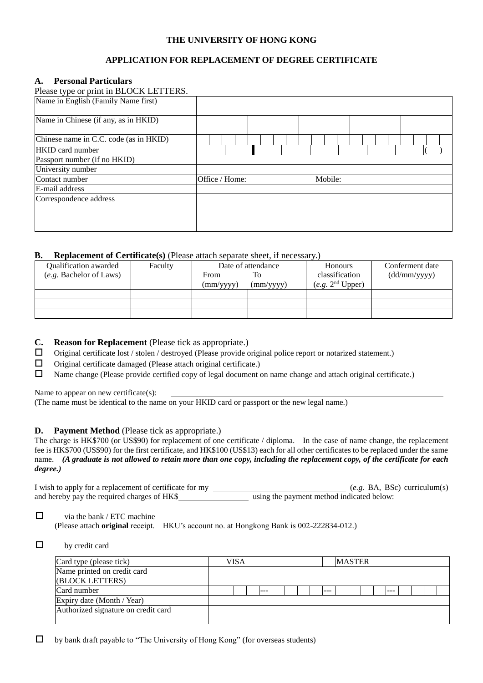## **THE UNIVERSITY OF HONG KONG**

## **APPLICATION FOR REPLACEMENT OF DEGREE CERTIFICATE**

### **A. Personal Particulars**

| Please type or print in BLOCK LETTERS. |                |  |  |  |  |         |  |  |  |  |  |
|----------------------------------------|----------------|--|--|--|--|---------|--|--|--|--|--|
| Name in English (Family Name first)    |                |  |  |  |  |         |  |  |  |  |  |
| Name in Chinese (if any, as in HKID)   |                |  |  |  |  |         |  |  |  |  |  |
| Chinese name in C.C. code (as in HKID) |                |  |  |  |  |         |  |  |  |  |  |
| <b>HKID</b> card number                |                |  |  |  |  |         |  |  |  |  |  |
| Passport number (if no HKID)           |                |  |  |  |  |         |  |  |  |  |  |
| University number                      |                |  |  |  |  |         |  |  |  |  |  |
| Contact number                         | Office / Home: |  |  |  |  | Mobile: |  |  |  |  |  |
| E-mail address                         |                |  |  |  |  |         |  |  |  |  |  |
| Correspondence address                 |                |  |  |  |  |         |  |  |  |  |  |

### **B. Replacement of Certificate(s)** (Please attach separate sheet, if necessary.)

| <b>Oualification awarded</b> | Faculty |                    | Date of attendance | <b>Honours</b>               | Conferment date |
|------------------------------|---------|--------------------|--------------------|------------------------------|-----------------|
| (e.g. Bachelor of Laws)      |         | From               | To                 | classification               | (dd/mm/yyyy)    |
|                              |         | $\text{(mm/vyyy)}$ | $\text{(mm/yyy)}$  | (e.g. 2 <sup>nd</sup> Upper) |                 |
|                              |         |                    |                    |                              |                 |
|                              |         |                    |                    |                              |                 |
|                              |         |                    |                    |                              |                 |

- **C. Reason for Replacement** (Please tick as appropriate.)
- $\Box$  Original certificate lost / stolen / destroyed (Please provide original police report or notarized statement.)
- $\Box$  Original certificate damaged (Please attach original certificate.)
- Name change (Please provide certified copy of legal document on name change and attach original certificate.)

Name to appear on new certificate(s):

(The name must be identical to the name on your HKID card or passport or the new legal name.)

### **D. Payment Method** (Please tick as appropriate.)

The charge is HK\$700 (or US\$90) for replacement of one certificate / diploma. In the case of name change, the replacement fee is HK\$700 (US\$90) for the first certificate, and HK\$100 (US\$13) each for all other certificates to be replaced under the same name. *(A graduate is not allowed to retain more than one copy, including the replacement copy, of the certificate for each degree.)*

I wish to apply for a replacement of certificate for my (*e.g.* BA, BSc) curriculum(s) and hereby pay the required charges of HK\$ using the payment method indicated below:

#### $\Box$  via the bank / ETC machine (Please attach **original** receipt. HKU's account no. at Hongkong Bank is 002-222834-012.)

#### $\Box$  by credit card

| Card type (please tick)             |  | VISA |         |  |  |         | <b>MASTER</b> |  |  |  |  |
|-------------------------------------|--|------|---------|--|--|---------|---------------|--|--|--|--|
| Name printed on credit card         |  |      |         |  |  |         |               |  |  |  |  |
| (BLOCK LETTERS)                     |  |      |         |  |  |         |               |  |  |  |  |
| Card number                         |  |      | $- - -$ |  |  | $- - -$ |               |  |  |  |  |
| Expiry date (Month / Year)          |  |      |         |  |  |         |               |  |  |  |  |
| Authorized signature on credit card |  |      |         |  |  |         |               |  |  |  |  |
|                                     |  |      |         |  |  |         |               |  |  |  |  |

 $\Box$  by bank draft payable to "The University of Hong Kong" (for overseas students)